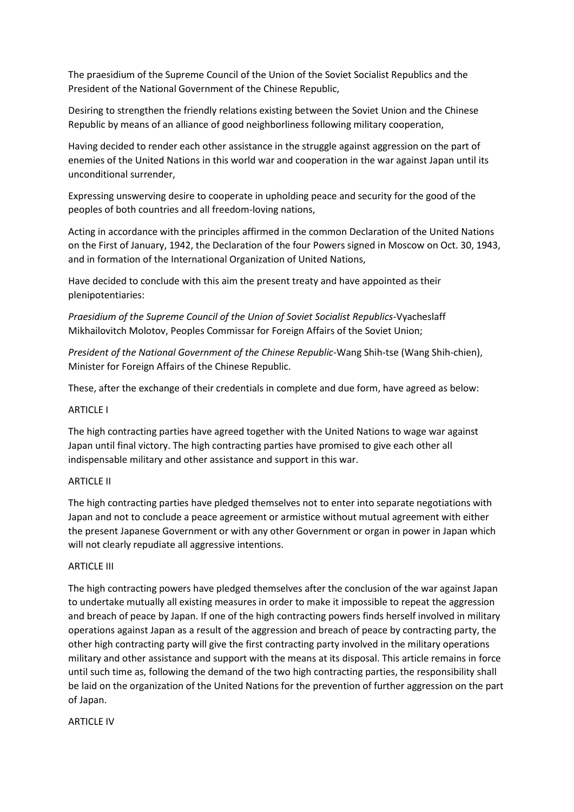The praesidium of the Supreme Council of the Union of the Soviet Socialist Republics and the President of the National Government of the Chinese Republic,

Desiring to strengthen the friendly relations existing between the Soviet Union and the Chinese Republic by means of an alliance of good neighborliness following military cooperation,

Having decided to render each other assistance in the struggle against aggression on the part of enemies of the United Nations in this world war and cooperation in the war against Japan until its unconditional surrender,

Expressing unswerving desire to cooperate in upholding peace and security for the good of the peoples of both countries and all freedom-loving nations,

Acting in accordance with the principles affirmed in the common Declaration of the United Nations on the First of January, 1942, the Declaration of the four Powers signed in Moscow on Oct. 30, 1943, and in formation of the International Organization of United Nations,

Have decided to conclude with this aim the present treaty and have appointed as their plenipotentiaries:

*Praesidium of the Supreme Council of the Union of Soviet Socialist Republics-*Vyacheslaff Mikhailovitch Molotov, Peoples Commissar for Foreign Affairs of the Soviet Union;

*President of the National Government of the Chinese Republic-*Wang Shih-tse (Wang Shih-chien), Minister for Foreign Affairs of the Chinese Republic.

These, after the exchange of their credentials in complete and due form, have agreed as below:

#### ARTICLE I

The high contracting parties have agreed together with the United Nations to wage war against Japan until final victory. The high contracting parties have promised to give each other all indispensable military and other assistance and support in this war.

### ARTICLE II

The high contracting parties have pledged themselves not to enter into separate negotiations with Japan and not to conclude a peace agreement or armistice without mutual agreement with either the present Japanese Government or with any other Government or organ in power in Japan which will not clearly repudiate all aggressive intentions.

#### **ARTICLE III**

The high contracting powers have pledged themselves after the conclusion of the war against Japan to undertake mutually all existing measures in order to make it impossible to repeat the aggression and breach of peace by Japan. If one of the high contracting powers finds herself involved in military operations against Japan as a result of the aggression and breach of peace by contracting party, the other high contracting party will give the first contracting party involved in the military operations military and other assistance and support with the means at its disposal. This article remains in force until such time as, following the demand of the two high contracting parties, the responsibility shall be laid on the organization of the United Nations for the prevention of further aggression on the part of Japan.

### ARTICLE IV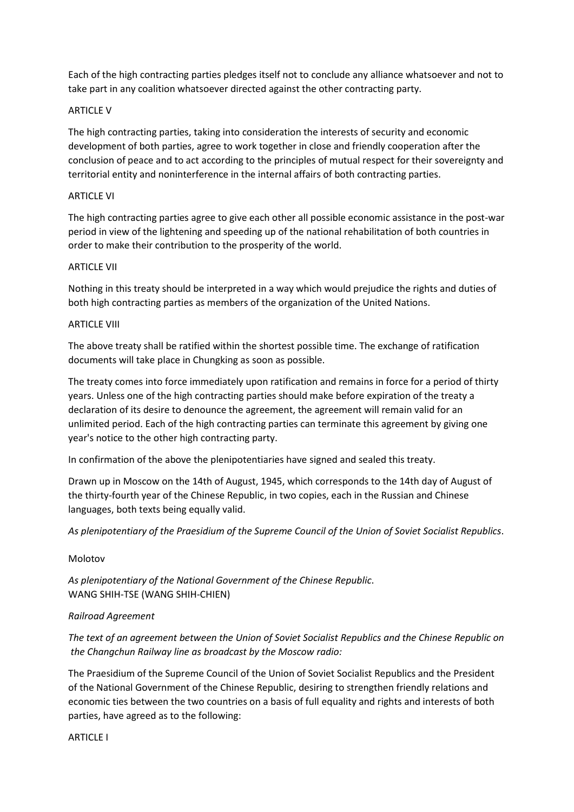Each of the high contracting parties pledges itself not to conclude any alliance whatsoever and not to take part in any coalition whatsoever directed against the other contracting party.

## ARTICLE V

The high contracting parties, taking into consideration the interests of security and economic development of both parties, agree to work together in close and friendly cooperation after the conclusion of peace and to act according to the principles of mutual respect for their sovereignty and territorial entity and noninterference in the internal affairs of both contracting parties.

## ARTICLE VI

The high contracting parties agree to give each other all possible economic assistance in the post-war period in view of the lightening and speeding up of the national rehabilitation of both countries in order to make their contribution to the prosperity of the world.

# ARTICLE VII

Nothing in this treaty should be interpreted in a way which would prejudice the rights and duties of both high contracting parties as members of the organization of the United Nations.

### ARTICLE VIII

The above treaty shall be ratified within the shortest possible time. The exchange of ratification documents will take place in Chungking as soon as possible.

The treaty comes into force immediately upon ratification and remains in force for a period of thirty years. Unless one of the high contracting parties should make before expiration of the treaty a declaration of its desire to denounce the agreement, the agreement will remain valid for an unlimited period. Each of the high contracting parties can terminate this agreement by giving one year's notice to the other high contracting party.

In confirmation of the above the plenipotentiaries have signed and sealed this treaty.

Drawn up in Moscow on the 14th of August, 1945, which corresponds to the 14th day of August of the thirty-fourth year of the Chinese Republic, in two copies, each in the Russian and Chinese languages, both texts being equally valid.

*As plenipotentiary of the Praesidium of the Supreme Council of the Union of Soviet Socialist Republics*.

### Molotov

*As plenipotentiary of the National Government of the Chinese Republic*. WANG SHIH-TSE (WANG SHIH-CHIEN)

### *Railroad Agreement*

*The text of an agreement between the Union of Soviet Socialist Republics and the Chinese Republic on the Changchun Railway line as broadcast by the Moscow radio:*

The Praesidium of the Supreme Council of the Union of Soviet Socialist Republics and the President of the National Government of the Chinese Republic, desiring to strengthen friendly relations and economic ties between the two countries on a basis of full equality and rights and interests of both parties, have agreed as to the following:

### **ARTICLE I**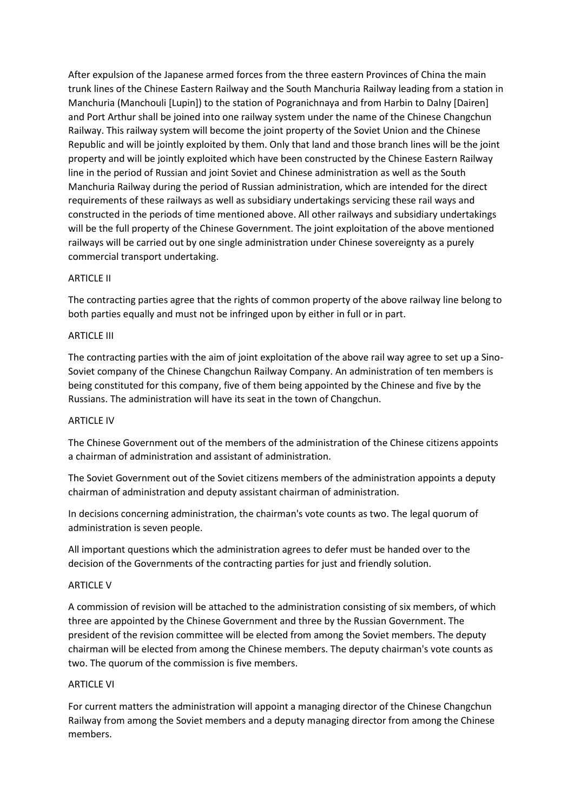After expulsion of the Japanese armed forces from the three eastern Provinces of China the main trunk lines of the Chinese Eastern Railway and the South Manchuria Railway leading from a station in Manchuria (Manchouli [Lupin]) to the station of Pogranichnaya and from Harbin to Dalny [Dairen] and Port Arthur shall be joined into one railway system under the name of the Chinese Changchun Railway. This railway system will become the joint property of the Soviet Union and the Chinese Republic and will be jointly exploited by them. Only that land and those branch lines will be the joint property and will be jointly exploited which have been constructed by the Chinese Eastern Railway line in the period of Russian and joint Soviet and Chinese administration as well as the South Manchuria Railway during the period of Russian administration, which are intended for the direct requirements of these railways as well as subsidiary undertakings servicing these rail ways and constructed in the periods of time mentioned above. All other railways and subsidiary undertakings will be the full property of the Chinese Government. The joint exploitation of the above mentioned railways will be carried out by one single administration under Chinese sovereignty as a purely commercial transport undertaking.

### ARTICLE II

The contracting parties agree that the rights of common property of the above railway line belong to both parties equally and must not be infringed upon by either in full or in part.

### ARTICLE III

The contracting parties with the aim of joint exploitation of the above rail way agree to set up a Sino-Soviet company of the Chinese Changchun Railway Company. An administration of ten members is being constituted for this company, five of them being appointed by the Chinese and five by the Russians. The administration will have its seat in the town of Changchun.

### **ARTICLE IV**

The Chinese Government out of the members of the administration of the Chinese citizens appoints a chairman of administration and assistant of administration.

The Soviet Government out of the Soviet citizens members of the administration appoints a deputy chairman of administration and deputy assistant chairman of administration.

In decisions concerning administration, the chairman's vote counts as two. The legal quorum of administration is seven people.

All important questions which the administration agrees to defer must be handed over to the decision of the Governments of the contracting parties for just and friendly solution.

#### ARTICLE V

A commission of revision will be attached to the administration consisting of six members, of which three are appointed by the Chinese Government and three by the Russian Government. The president of the revision committee will be elected from among the Soviet members. The deputy chairman will be elected from among the Chinese members. The deputy chairman's vote counts as two. The quorum of the commission is five members.

#### ARTICLE VI

For current matters the administration will appoint a managing director of the Chinese Changchun Railway from among the Soviet members and a deputy managing director from among the Chinese members.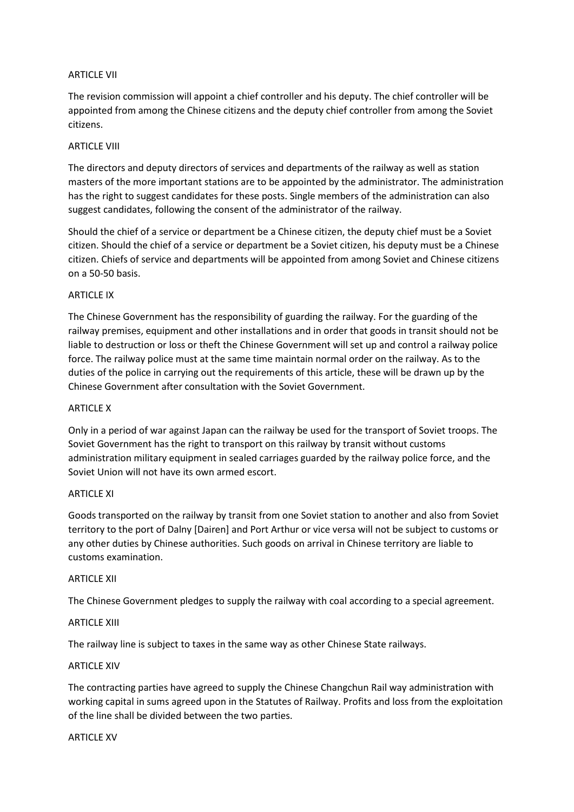## ARTICLE VII

The revision commission will appoint a chief controller and his deputy. The chief controller will be appointed from among the Chinese citizens and the deputy chief controller from among the Soviet citizens.

## ARTICLE VIII

The directors and deputy directors of services and departments of the railway as well as station masters of the more important stations are to be appointed by the administrator. The administration has the right to suggest candidates for these posts. Single members of the administration can also suggest candidates, following the consent of the administrator of the railway.

Should the chief of a service or department be a Chinese citizen, the deputy chief must be a Soviet citizen. Should the chief of a service or department be a Soviet citizen, his deputy must be a Chinese citizen. Chiefs of service and departments will be appointed from among Soviet and Chinese citizens on a 50-50 basis.

# ARTICLE IX

The Chinese Government has the responsibility of guarding the railway. For the guarding of the railway premises, equipment and other installations and in order that goods in transit should not be liable to destruction or loss or theft the Chinese Government will set up and control a railway police force. The railway police must at the same time maintain normal order on the railway. As to the duties of the police in carrying out the requirements of this article, these will be drawn up by the Chinese Government after consultation with the Soviet Government.

### ARTICLE X

Only in a period of war against Japan can the railway be used for the transport of Soviet troops. The Soviet Government has the right to transport on this railway by transit without customs administration military equipment in sealed carriages guarded by the railway police force, and the Soviet Union will not have its own armed escort.

### ARTICLE XI

Goods transported on the railway by transit from one Soviet station to another and also from Soviet territory to the port of Dalny [Dairen] and Port Arthur or vice versa will not be subject to customs or any other duties by Chinese authorities. Such goods on arrival in Chinese territory are liable to customs examination.

### ARTICLE XII

The Chinese Government pledges to supply the railway with coal according to a special agreement.

### ARTICLE XIII

The railway line is subject to taxes in the same way as other Chinese State railways.

### ARTICLE XIV

The contracting parties have agreed to supply the Chinese Changchun Rail way administration with working capital in sums agreed upon in the Statutes of Railway. Profits and loss from the exploitation of the line shall be divided between the two parties.

#### **ARTICLE XV**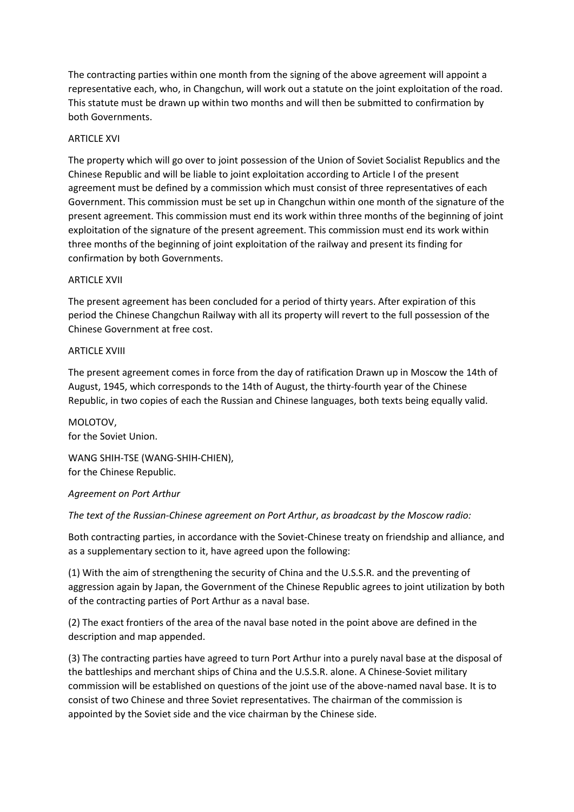The contracting parties within one month from the signing of the above agreement will appoint a representative each, who, in Changchun, will work out a statute on the joint exploitation of the road. This statute must be drawn up within two months and will then be submitted to confirmation by both Governments.

## ARTICLE XVI

The property which will go over to joint possession of the Union of Soviet Socialist Republics and the Chinese Republic and will be liable to joint exploitation according to Article I of the present agreement must be defined by a commission which must consist of three representatives of each Government. This commission must be set up in Changchun within one month of the signature of the present agreement. This commission must end its work within three months of the beginning of joint exploitation of the signature of the present agreement. This commission must end its work within three months of the beginning of joint exploitation of the railway and present its finding for confirmation by both Governments.

### ARTICLE XVII

The present agreement has been concluded for a period of thirty years. After expiration of this period the Chinese Changchun Railway with all its property will revert to the full possession of the Chinese Government at free cost.

# ARTICLE XVIII

The present agreement comes in force from the day of ratification Drawn up in Moscow the 14th of August, 1945, which corresponds to the 14th of August, the thirty-fourth year of the Chinese Republic, in two copies of each the Russian and Chinese languages, both texts being equally valid.

MOLOTOV, for the Soviet Union.

WANG SHIH-TSE (WANG-SHIH-CHIEN), for the Chinese Republic.

# *Agreement on Port Arthur*

*The text of the Russian-Chinese agreement on Port Arthur*, *as broadcast by the Moscow radio:*

Both contracting parties, in accordance with the Soviet-Chinese treaty on friendship and alliance, and as a supplementary section to it, have agreed upon the following:

(1) With the aim of strengthening the security of China and the U.S.S.R. and the preventing of aggression again by Japan, the Government of the Chinese Republic agrees to joint utilization by both of the contracting parties of Port Arthur as a naval base.

(2) The exact frontiers of the area of the naval base noted in the point above are defined in the description and map appended.

(3) The contracting parties have agreed to turn Port Arthur into a purely naval base at the disposal of the battleships and merchant ships of China and the U.S.S.R. alone. A Chinese-Soviet military commission will be established on questions of the joint use of the above-named naval base. It is to consist of two Chinese and three Soviet representatives. The chairman of the commission is appointed by the Soviet side and the vice chairman by the Chinese side.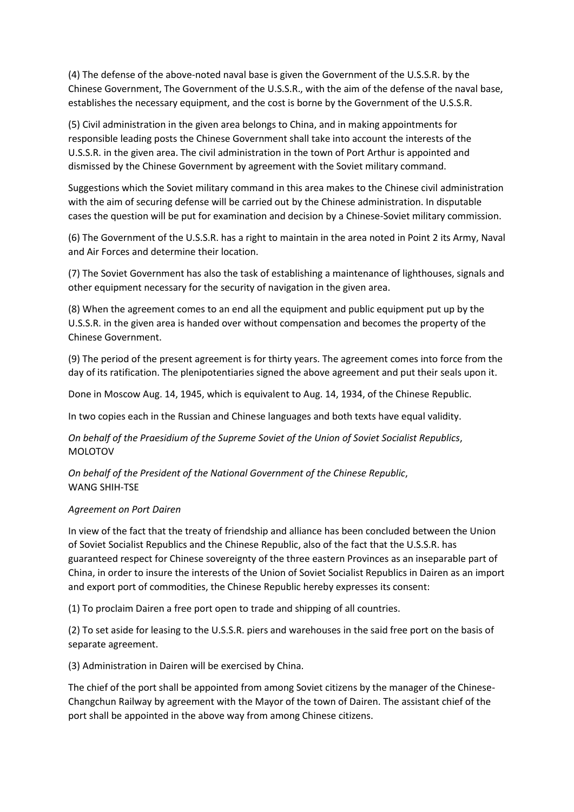(4) The defense of the above-noted naval base is given the Government of the U.S.S.R. by the Chinese Government, The Government of the U.S.S.R., with the aim of the defense of the naval base, establishes the necessary equipment, and the cost is borne by the Government of the U.S.S.R.

(5) Civil administration in the given area belongs to China, and in making appointments for responsible leading posts the Chinese Government shall take into account the interests of the U.S.S.R. in the given area. The civil administration in the town of Port Arthur is appointed and dismissed by the Chinese Government by agreement with the Soviet military command.

Suggestions which the Soviet military command in this area makes to the Chinese civil administration with the aim of securing defense will be carried out by the Chinese administration. In disputable cases the question will be put for examination and decision by a Chinese-Soviet military commission.

(6) The Government of the U.S.S.R. has a right to maintain in the area noted in Point 2 its Army, Naval and Air Forces and determine their location.

(7) The Soviet Government has also the task of establishing a maintenance of lighthouses, signals and other equipment necessary for the security of navigation in the given area.

(8) When the agreement comes to an end all the equipment and public equipment put up by the U.S.S.R. in the given area is handed over without compensation and becomes the property of the Chinese Government.

(9) The period of the present agreement is for thirty years. The agreement comes into force from the day of its ratification. The plenipotentiaries signed the above agreement and put their seals upon it.

Done in Moscow Aug. 14, 1945, which is equivalent to Aug. 14, 1934, of the Chinese Republic.

In two copies each in the Russian and Chinese languages and both texts have equal validity.

*On behalf of the Praesidium of the Supreme Soviet of the Union of Soviet Socialist Republics*, MOLOTOV

*On behalf of the President of the National Government of the Chinese Republic*, WANG SHIH-TSE

### *Agreement on Port Dairen*

In view of the fact that the treaty of friendship and alliance has been concluded between the Union of Soviet Socialist Republics and the Chinese Republic, also of the fact that the U.S.S.R. has guaranteed respect for Chinese sovereignty of the three eastern Provinces as an inseparable part of China, in order to insure the interests of the Union of Soviet Socialist Republics in Dairen as an import and export port of commodities, the Chinese Republic hereby expresses its consent:

(1) To proclaim Dairen a free port open to trade and shipping of all countries.

(2) To set aside for leasing to the U.S.S.R. piers and warehouses in the said free port on the basis of separate agreement.

(3) Administration in Dairen will be exercised by China.

The chief of the port shall be appointed from among Soviet citizens by the manager of the Chinese-Changchun Railway by agreement with the Mayor of the town of Dairen. The assistant chief of the port shall be appointed in the above way from among Chinese citizens.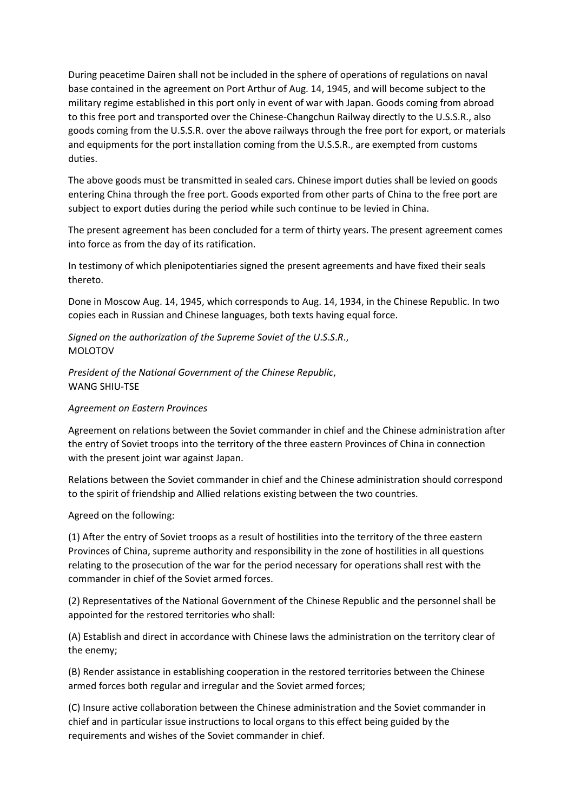During peacetime Dairen shall not be included in the sphere of operations of regulations on naval base contained in the agreement on Port Arthur of Aug. 14, 1945, and will become subject to the military regime established in this port only in event of war with Japan. Goods coming from abroad to this free port and transported over the Chinese-Changchun Railway directly to the U.S.S.R., also goods coming from the U.S.S.R. over the above railways through the free port for export, or materials and equipments for the port installation coming from the U.S.S.R., are exempted from customs duties.

The above goods must be transmitted in sealed cars. Chinese import duties shall be levied on goods entering China through the free port. Goods exported from other parts of China to the free port are subject to export duties during the period while such continue to be levied in China.

The present agreement has been concluded for a term of thirty years. The present agreement comes into force as from the day of its ratification.

In testimony of which plenipotentiaries signed the present agreements and have fixed their seals thereto.

Done in Moscow Aug. 14, 1945, which corresponds to Aug. 14, 1934, in the Chinese Republic. In two copies each in Russian and Chinese languages, both texts having equal force.

*Signed on the authorization of the Supreme Soviet of the U*.*S*.*S*.*R*., MOLOTOV

*President of the National Government of the Chinese Republic*, WANG SHIU-TSE

# *Agreement on Eastern Provinces*

Agreement on relations between the Soviet commander in chief and the Chinese administration after the entry of Soviet troops into the territory of the three eastern Provinces of China in connection with the present joint war against Japan.

Relations between the Soviet commander in chief and the Chinese administration should correspond to the spirit of friendship and Allied relations existing between the two countries.

### Agreed on the following:

(1) After the entry of Soviet troops as a result of hostilities into the territory of the three eastern Provinces of China, supreme authority and responsibility in the zone of hostilities in all questions relating to the prosecution of the war for the period necessary for operations shall rest with the commander in chief of the Soviet armed forces.

(2) Representatives of the National Government of the Chinese Republic and the personnel shall be appointed for the restored territories who shall:

(A) Establish and direct in accordance with Chinese laws the administration on the territory clear of the enemy;

(B) Render assistance in establishing cooperation in the restored territories between the Chinese armed forces both regular and irregular and the Soviet armed forces;

(C) Insure active collaboration between the Chinese administration and the Soviet commander in chief and in particular issue instructions to local organs to this effect being guided by the requirements and wishes of the Soviet commander in chief.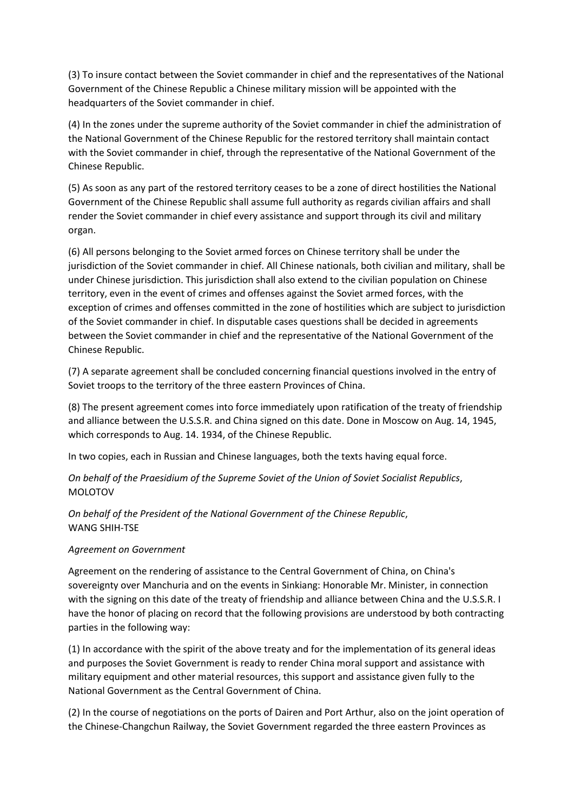(3) To insure contact between the Soviet commander in chief and the representatives of the National Government of the Chinese Republic a Chinese military mission will be appointed with the headquarters of the Soviet commander in chief.

(4) In the zones under the supreme authority of the Soviet commander in chief the administration of the National Government of the Chinese Republic for the restored territory shall maintain contact with the Soviet commander in chief, through the representative of the National Government of the Chinese Republic.

(5) As soon as any part of the restored territory ceases to be a zone of direct hostilities the National Government of the Chinese Republic shall assume full authority as regards civilian affairs and shall render the Soviet commander in chief every assistance and support through its civil and military organ.

(6) All persons belonging to the Soviet armed forces on Chinese territory shall be under the jurisdiction of the Soviet commander in chief. All Chinese nationals, both civilian and military, shall be under Chinese jurisdiction. This jurisdiction shall also extend to the civilian population on Chinese territory, even in the event of crimes and offenses against the Soviet armed forces, with the exception of crimes and offenses committed in the zone of hostilities which are subject to jurisdiction of the Soviet commander in chief. In disputable cases questions shall be decided in agreements between the Soviet commander in chief and the representative of the National Government of the Chinese Republic.

(7) A separate agreement shall be concluded concerning financial questions involved in the entry of Soviet troops to the territory of the three eastern Provinces of China.

(8) The present agreement comes into force immediately upon ratification of the treaty of friendship and alliance between the U.S.S.R. and China signed on this date. Done in Moscow on Aug. 14, 1945, which corresponds to Aug. 14. 1934, of the Chinese Republic.

In two copies, each in Russian and Chinese languages, both the texts having equal force.

*On behalf of the Praesidium of the Supreme Soviet of the Union of Soviet Socialist Republics*, MOLOTOV

*On behalf of the President of the National Government of the Chinese Republic*, WANG SHIH-TSE

# *Agreement on Government*

Agreement on the rendering of assistance to the Central Government of China, on China's sovereignty over Manchuria and on the events in Sinkiang: Honorable Mr. Minister, in connection with the signing on this date of the treaty of friendship and alliance between China and the U.S.S.R. I have the honor of placing on record that the following provisions are understood by both contracting parties in the following way:

(1) In accordance with the spirit of the above treaty and for the implementation of its general ideas and purposes the Soviet Government is ready to render China moral support and assistance with military equipment and other material resources, this support and assistance given fully to the National Government as the Central Government of China.

(2) In the course of negotiations on the ports of Dairen and Port Arthur, also on the joint operation of the Chinese-Changchun Railway, the Soviet Government regarded the three eastern Provinces as